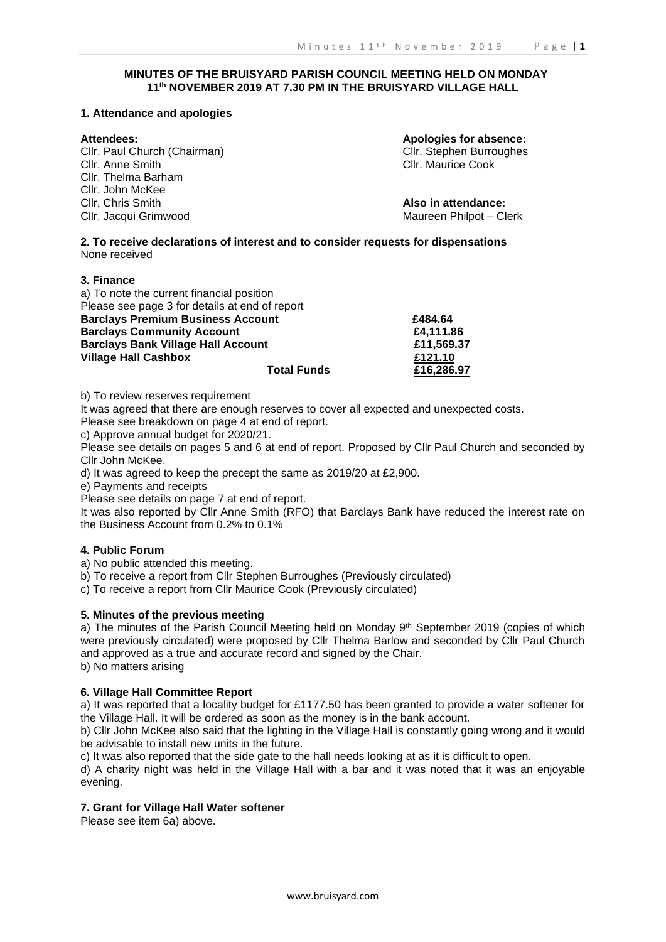# **MINUTES OF THE BRUISYARD PARISH COUNCIL MEETING HELD ON MONDAY 11th NOVEMBER 2019 AT 7.30 PM IN THE BRUISYARD VILLAGE HALL**

### **1. Attendance and apologies**

Cllr. Paul Church (Chairman) Cllr. Stephen Burroughes Cllr. Anne Smith Cllr. Maurice Cook Cllr. Thelma Barham Cllr. John McKee Cllr, Chris Smith **Also in attendance:** Cllr. Jacqui Grimwood Maureen Philpot – Clerk

**Attendees: Apologies for absence:**

**2. To receive declarations of interest and to consider requests for dispensations** None received

#### **3. Finance**

| a) To note the current financial position      |            |
|------------------------------------------------|------------|
| Please see page 3 for details at end of report |            |
| <b>Barclays Premium Business Account</b>       | £484.64    |
| <b>Barclays Community Account</b>              | £4.111.86  |
| <b>Barclays Bank Village Hall Account</b>      | £11,569.37 |
| <b>Village Hall Cashbox</b>                    | £121.10    |
| <b>Total Funds</b>                             | £16,286.97 |

b) To review reserves requirement

It was agreed that there are enough reserves to cover all expected and unexpected costs. Please see breakdown on page 4 at end of report.

c) Approve annual budget for 2020/21.

Please see details on pages 5 and 6 at end of report. Proposed by Cllr Paul Church and seconded by Cllr John McKee.

d) It was agreed to keep the precept the same as 2019/20 at £2,900.

e) Payments and receipts

Please see details on page 7 at end of report.

It was also reported by Cllr Anne Smith (RFO) that Barclays Bank have reduced the interest rate on the Business Account from 0.2% to 0.1%

# **4. Public Forum**

a) No public attended this meeting.

b) To receive a report from Cllr Stephen Burroughes (Previously circulated)

c) To receive a report from Cllr Maurice Cook (Previously circulated)

# **5. Minutes of the previous meeting**

a) The minutes of the Parish Council Meeting held on Monday  $9<sup>th</sup>$  September 2019 (copies of which were previously circulated) were proposed by Cllr Thelma Barlow and seconded by Cllr Paul Church and approved as a true and accurate record and signed by the Chair. b) No matters arising

# **6. Village Hall Committee Report**

a) It was reported that a locality budget for £1177.50 has been granted to provide a water softener for the Village Hall. It will be ordered as soon as the money is in the bank account.

b) Cllr John McKee also said that the lighting in the Village Hall is constantly going wrong and it would be advisable to install new units in the future.

c) It was also reported that the side gate to the hall needs looking at as it is difficult to open.

d) A charity night was held in the Village Hall with a bar and it was noted that it was an enjoyable evening.

# **7. Grant for Village Hall Water softener**

Please see item 6a) above.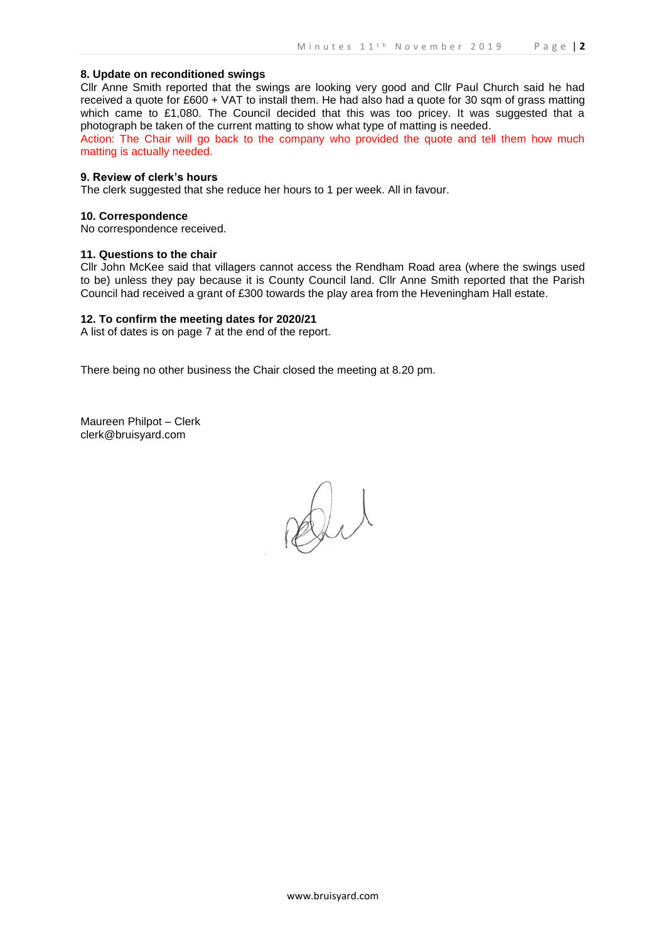### **8. Update on reconditioned swings**

Cllr Anne Smith reported that the swings are looking very good and Cllr Paul Church said he had received a quote for £600 + VAT to install them. He had also had a quote for 30 sqm of grass matting which came to £1,080. The Council decided that this was too pricey. It was suggested that a photograph be taken of the current matting to show what type of matting is needed.

Action: The Chair will go back to the company who provided the quote and tell them how much matting is actually needed.

# **9. Review of clerk's hours**

The clerk suggested that she reduce her hours to 1 per week. All in favour.

#### **10. Correspondence**

No correspondence received.

#### **11. Questions to the chair**

Cllr John McKee said that villagers cannot access the Rendham Road area (where the swings used to be) unless they pay because it is County Council land. Cllr Anne Smith reported that the Parish Council had received a grant of £300 towards the play area from the Heveningham Hall estate.

#### **12. To confirm the meeting dates for 2020/21**

A list of dates is on page 7 at the end of the report.

There being no other business the Chair closed the meeting at 8.20 pm.

Maureen Philpot – Clerk clerk@bruisyard.com

Di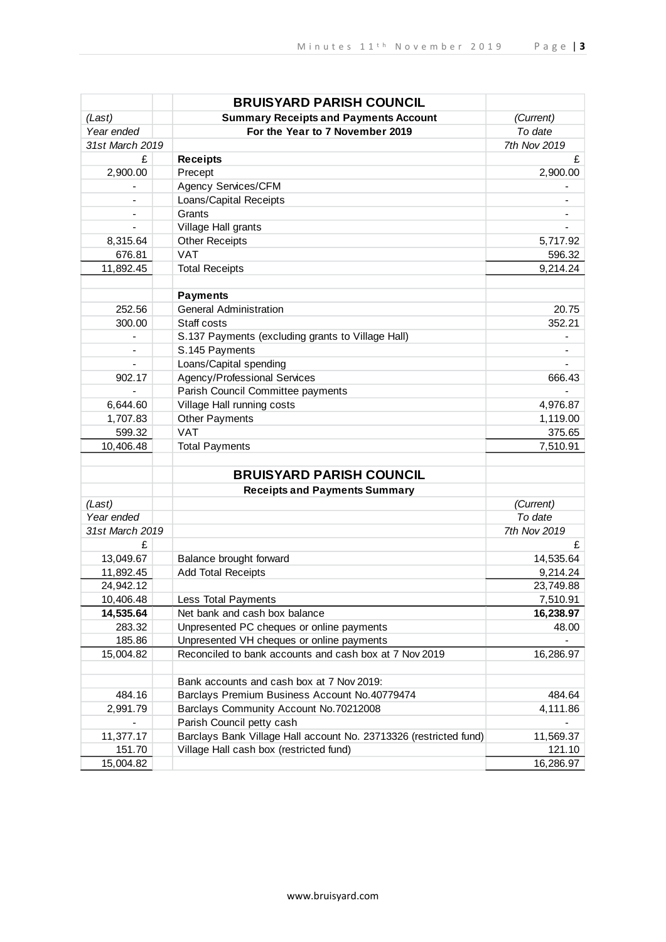|                          | <b>BRUISYARD PARISH COUNCIL</b>                                   |              |
|--------------------------|-------------------------------------------------------------------|--------------|
| (Last)                   | <b>Summary Receipts and Payments Account</b>                      | (Current)    |
| Year ended               | For the Year to 7 November 2019                                   | To date      |
| 31st March 2019          |                                                                   | 7th Nov 2019 |
| £                        | <b>Receipts</b>                                                   | £            |
| 2,900.00                 | Precept                                                           | 2,900.00     |
|                          | Agency Services/CFM                                               |              |
|                          | Loans/Capital Receipts                                            |              |
|                          | Grants                                                            |              |
|                          | Village Hall grants                                               |              |
| 8,315.64                 | <b>Other Receipts</b>                                             | 5,717.92     |
| 676.81                   | <b>VAT</b>                                                        | 596.32       |
| 11,892.45                | <b>Total Receipts</b>                                             | 9,214.24     |
|                          |                                                                   |              |
|                          | <b>Payments</b>                                                   |              |
| 252.56                   | <b>General Administration</b>                                     | 20.75        |
| 300.00                   | Staff costs                                                       | 352.21       |
| $\overline{\phantom{0}}$ | S.137 Payments (excluding grants to Village Hall)                 |              |
| -                        | S.145 Payments                                                    |              |
| $\overline{\phantom{0}}$ | Loans/Capital spending                                            |              |
| 902.17                   | <b>Agency/Professional Services</b>                               | 666.43       |
|                          | Parish Council Committee payments                                 |              |
| 6,644.60                 | Village Hall running costs                                        | 4,976.87     |
| 1,707.83                 | <b>Other Payments</b>                                             | 1,119.00     |
| 599.32                   | <b>VAT</b>                                                        | 375.65       |
| 10,406.48                | <b>Total Payments</b>                                             | 7,510.91     |
|                          |                                                                   |              |
|                          | <b>BRUISYARD PARISH COUNCIL</b>                                   |              |
|                          | <b>Receipts and Payments Summary</b>                              |              |
| (Last)                   |                                                                   | (Current)    |
| Year ended               |                                                                   | To date      |
| 31st March 2019          |                                                                   | 7th Nov 2019 |
| £                        |                                                                   | £            |
| 13,049.67                | Balance brought forward                                           | 14,535.64    |
| 11,892.45                | <b>Add Total Receipts</b>                                         | 9,214.24     |
| 24,942.12                |                                                                   | 23,749.88    |
| 10,406.48                | Less Total Payments                                               | 7,510.91     |
| 14,535.64                | Net bank and cash box balance                                     | 16,238.97    |
| 283.32                   | Unpresented PC cheques or online payments                         | 48.00        |
| 185.86                   | Unpresented VH cheques or online payments                         |              |
| 15,004.82                | Reconciled to bank accounts and cash box at 7 Nov 2019            | 16,286.97    |
|                          | Bank accounts and cash box at 7 Nov 2019:                         |              |
| 484.16                   | Barclays Premium Business Account No.40779474                     | 484.64       |
|                          |                                                                   |              |
| 2,991.79                 | Barclays Community Account No.70212008                            | 4,111.86     |
|                          | Parish Council petty cash                                         |              |
| 11,377.17                | Barclays Bank Village Hall account No. 23713326 (restricted fund) | 11,569.37    |
| 151.70                   | Village Hall cash box (restricted fund)                           | 121.10       |
| 15,004.82                |                                                                   | 16,286.97    |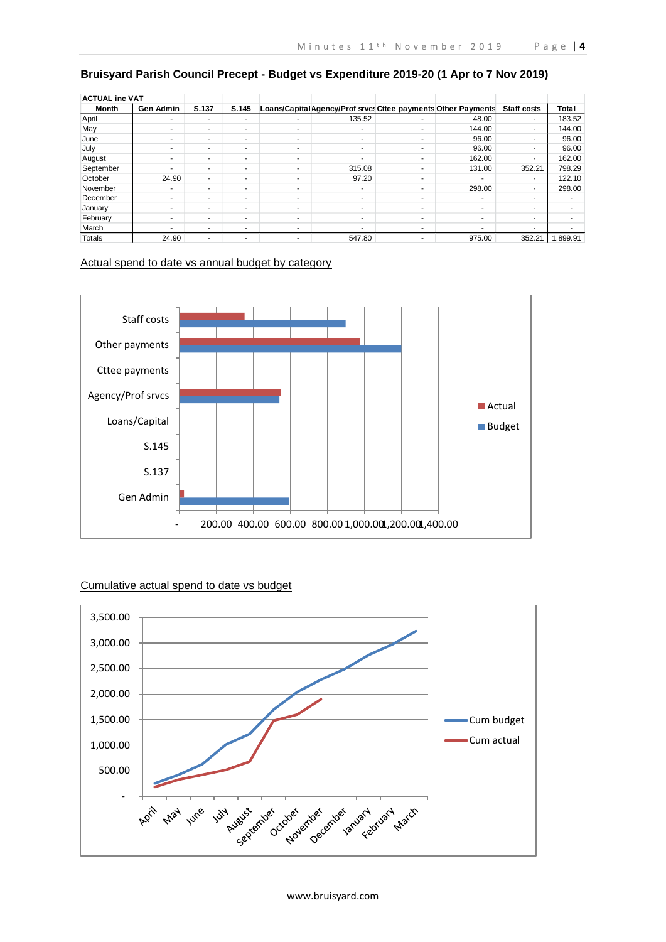| <b>ACTUAL inc VAT</b> |                          |       |       |                          |                                                              |                          |                          |                          |          |
|-----------------------|--------------------------|-------|-------|--------------------------|--------------------------------------------------------------|--------------------------|--------------------------|--------------------------|----------|
| Month                 | <b>Gen Admin</b>         | S.137 | S.145 |                          | Loans/CapitalAgency/Prof srvcs Cttee payments Other Payments |                          |                          | <b>Staff costs</b>       | Total    |
| April                 |                          |       | ۰     | ۰                        | 135.52                                                       | ۰                        | 48.00                    | $\overline{\phantom{a}}$ | 183.52   |
| May                   | $\sim$                   | ۰.    | ٠     | ٠                        | $\overline{\phantom{a}}$                                     | ۰                        | 144.00                   | $\sim$                   | 144.00   |
| June                  | -                        | ۰.    | ٠     | ٠                        | $\overline{\phantom{a}}$                                     | ۰                        | 96.00                    | $\overline{\phantom{a}}$ | 96.00    |
| July                  | $\overline{\phantom{a}}$ | ۰.    | ۰     | ۰                        | $\overline{\phantom{a}}$                                     | ۰                        | 96.00                    | $\overline{\phantom{a}}$ | 96.00    |
| August                | ۰                        | ۰.    | ٠     | ۰                        | <b>.</b>                                                     | ۰                        | 162.00                   | $\overline{\phantom{a}}$ | 162.00   |
| September             | $\sim$                   | ۰.    | ٠     | ۰                        | 315.08                                                       | ۰                        | 131.00                   | 352.21                   | 798.29   |
| October               | 24.90                    | ۰.    | ٠     | ۰                        | 97.20                                                        | $\overline{\phantom{a}}$ |                          |                          | 122.10   |
| November              | ٠                        | ۰.    | ٠     | $\sim$                   | $\overline{\phantom{a}}$                                     | $\overline{\phantom{a}}$ | 298.00                   | $\overline{\phantom{a}}$ | 298.00   |
| December              | $\sim$                   | ۰.    | ۰     | ۰                        | $\overline{\phantom{a}}$                                     | $\overline{\phantom{a}}$ | $\overline{\phantom{a}}$ | $\overline{\phantom{0}}$ |          |
| January               | -                        | ۰.    | ۰     | ۰                        | $\overline{\phantom{a}}$                                     | ۰                        | $\sim$                   | $\overline{\phantom{a}}$ |          |
| February              | ۰                        | ۰.    | ٠     | ٠                        | $\overline{\phantom{a}}$                                     | ۰                        | $\overline{a}$           | $\overline{a}$           |          |
| March                 | ۰                        | ۰.    | ٠     | $\overline{\phantom{a}}$ |                                                              | ۰                        | ۰                        |                          |          |
| Totals                | 24.90                    | -     | -     | $\overline{\phantom{a}}$ | 547.80                                                       | ۰                        | 975.00                   | 352.21                   | 1,899.91 |

# **Bruisyard Parish Council Precept - Budget vs Expenditure 2019-20 (1 Apr to 7 Nov 2019)**

Actual spend to date vs annual budget by category



# Cumulative actual spend to date vs budget

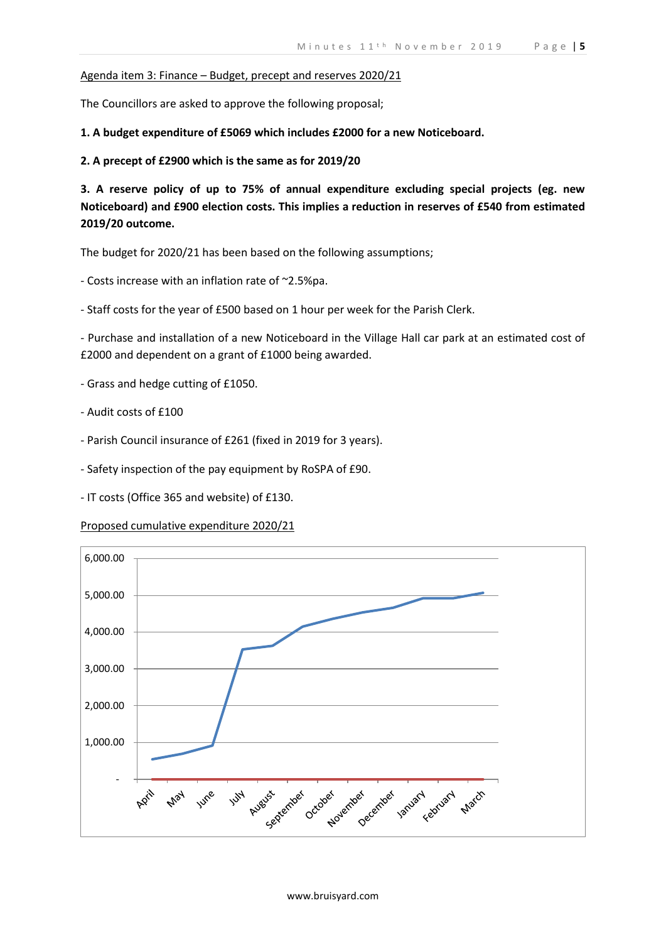# Agenda item 3: Finance – Budget, precept and reserves 2020/21

The Councillors are asked to approve the following proposal;

**1. A budget expenditure of £5069 which includes £2000 for a new Noticeboard.**

**2. A precept of £2900 which is the same as for 2019/20**

**3. A reserve policy of up to 75% of annual expenditure excluding special projects (eg. new Noticeboard) and £900 election costs. This implies a reduction in reserves of £540 from estimated 2019/20 outcome.**

The budget for 2020/21 has been based on the following assumptions;

- Costs increase with an inflation rate of ~2.5%pa.

- Staff costs for the year of £500 based on 1 hour per week for the Parish Clerk.

- Purchase and installation of a new Noticeboard in the Village Hall car park at an estimated cost of £2000 and dependent on a grant of £1000 being awarded.

- Grass and hedge cutting of £1050.
- Audit costs of £100
- Parish Council insurance of £261 (fixed in 2019 for 3 years).
- Safety inspection of the pay equipment by RoSPA of £90.
- IT costs (Office 365 and website) of £130.

# Proposed cumulative expenditure 2020/21

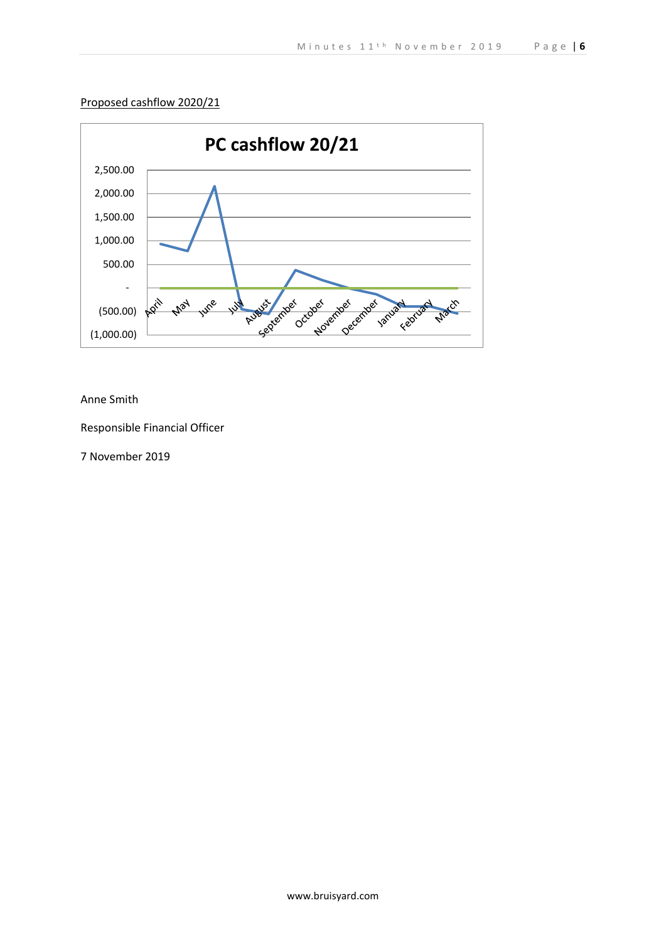# Proposed cashflow 2020/21



# Anne Smith

Responsible Financial Officer

7 November 2019